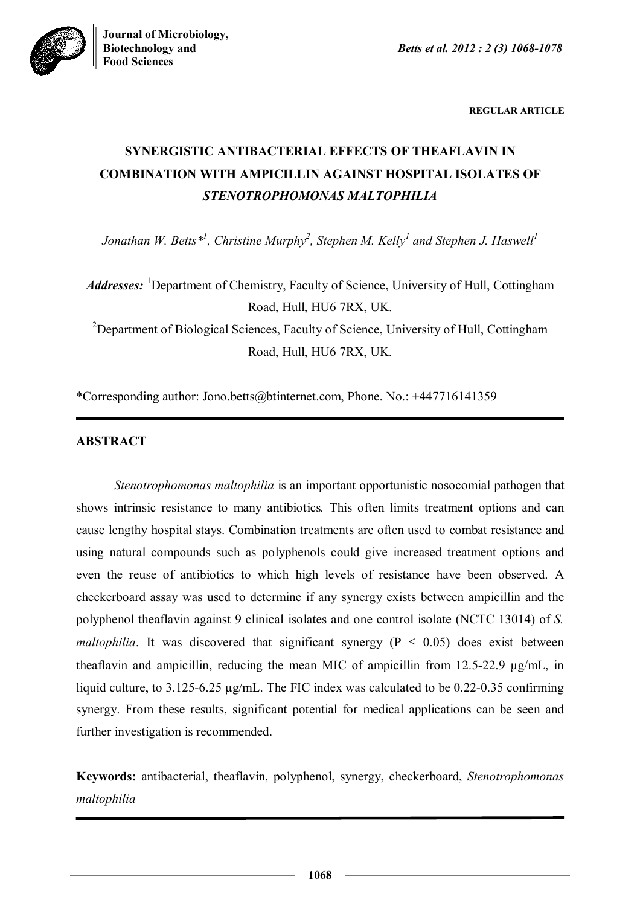

**REGULAR ARTICLE**

# **SYNERGISTIC ANTIBACTERIAL EFFECTS OF THEAFLAVIN IN COMBINATION WITH AMPICILLIN AGAINST HOSPITAL ISOLATES OF**  *STENOTROPHOMONAS MALTOPHILIA*

*Jonathan W. Betts\*<sup>1</sup> , Christine Murphy<sup>2</sup> , Stephen M. Kelly<sup>1</sup> and Stephen J. Haswell<sup>1</sup>*

*Addresses*: <sup>1</sup>Department of Chemistry, Faculty of Science, University of Hull, Cottingham Road, Hull, HU6 7RX, UK. <sup>2</sup>Department of Biological Sciences, Faculty of Science, University of Hull, Cottingham Road, Hull, HU6 7RX, UK.

\*Corresponding author: Jono.betts@btinternet.com, Phone. No.: +447716141359

## **ABSTRACT**

*Stenotrophomonas maltophilia* is an important opportunistic nosocomial pathogen that shows intrinsic resistance to many antibiotics*.* This often limits treatment options and can cause lengthy hospital stays. Combination treatments are often used to combat resistance and using natural compounds such as polyphenols could give increased treatment options and even the reuse of antibiotics to which high levels of resistance have been observed. A checkerboard assay was used to determine if any synergy exists between ampicillin and the polyphenol theaflavin against 9 clinical isolates and one control isolate (NCTC 13014) of *S. maltophilia*. It was discovered that significant synergy ( $P \le 0.05$ ) does exist between theaflavin and ampicillin, reducing the mean MIC of ampicillin from 12.5-22.9 µg/mL, in liquid culture, to 3.125-6.25 µg/mL. The FIC index was calculated to be 0.22-0.35 confirming synergy. From these results, significant potential for medical applications can be seen and further investigation is recommended.

**Keywords:** antibacterial, theaflavin, polyphenol, synergy, checkerboard, *Stenotrophomonas maltophilia*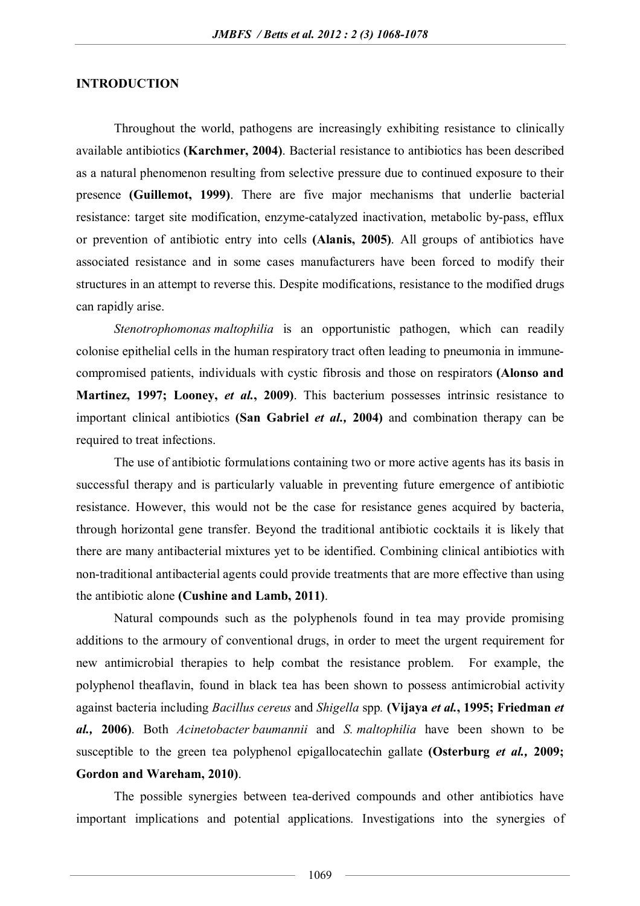## **INTRODUCTION**

Throughout the world, pathogens are increasingly exhibiting resistance to clinically available antibiotics **(Karchmer, 2004)**. Bacterial resistance to antibiotics has been described as a natural phenomenon resulting from selective pressure due to continued exposure to their presence **(Guillemot, 1999)**. There are five major mechanisms that underlie bacterial resistance: target site modification, enzyme-catalyzed inactivation, metabolic by-pass, efflux or prevention of antibiotic entry into cells **(Alanis, 2005)**. All groups of antibiotics have associated resistance and in some cases manufacturers have been forced to modify their structures in an attempt to reverse this. Despite modifications, resistance to the modified drugs can rapidly arise.

*Stenotrophomonas maltophilia* is an opportunistic pathogen, which can readily colonise epithelial cells in the human respiratory tract often leading to pneumonia in immunecompromised patients, individuals with cystic fibrosis and those on respirators **(Alonso and Martinez, 1997; Looney,** *et al.***, 2009)**. This bacterium possesses intrinsic resistance to important clinical antibiotics **(San Gabriel** *et al.,* **2004)** and combination therapy can be required to treat infections.

The use of antibiotic formulations containing two or more active agents has its basis in successful therapy and is particularly valuable in preventing future emergence of antibiotic resistance. However, this would not be the case for resistance genes acquired by bacteria, through horizontal gene transfer. Beyond the traditional antibiotic cocktails it is likely that there are many antibacterial mixtures yet to be identified. Combining clinical antibiotics with non-traditional antibacterial agents could provide treatments that are more effective than using the antibiotic alone **(Cushine and Lamb, 2011)**.

Natural compounds such as the polyphenols found in tea may provide promising additions to the armoury of conventional drugs, in order to meet the urgent requirement for new antimicrobial therapies to help combat the resistance problem. For example, the polyphenol theaflavin, found in black tea has been shown to possess antimicrobial activity against bacteria including *Bacillus cereus* and *Shigella* spp*.* **(Vijaya** *et al.***, 1995; Friedman** *et al.,* **2006)**. Both *Acinetobacter baumannii* and *S. maltophilia* have been shown to be susceptible to the green tea polyphenol epigallocatechin gallate **(Osterburg** *et al.,* **2009; Gordon and Wareham, 2010)**.

The possible synergies between tea-derived compounds and other antibiotics have important implications and potential applications. Investigations into the synergies of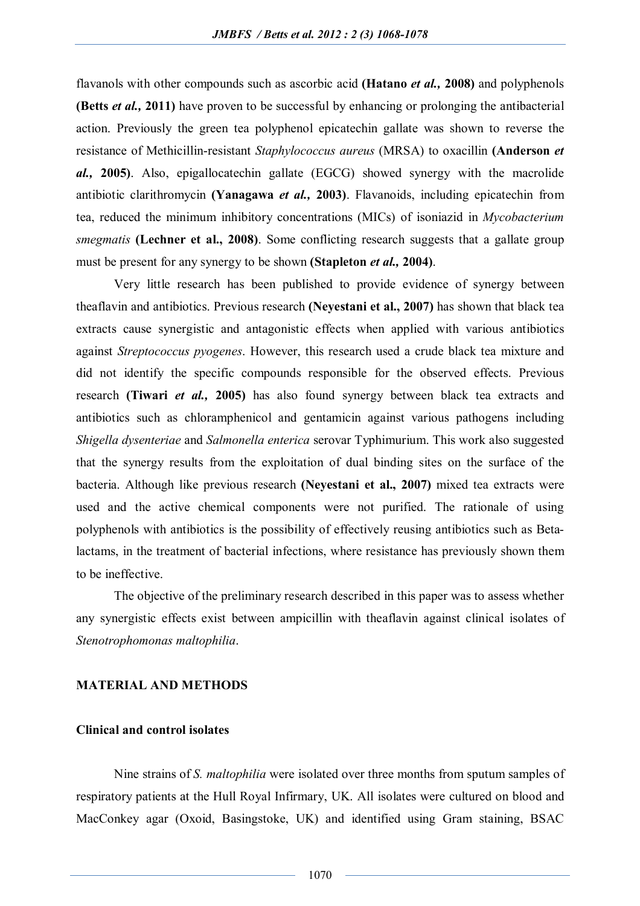flavanols with other compounds such as ascorbic acid **(Hatano** *et al.,* **2008)** and polyphenols **(Betts** *et al.,* **2011)** have proven to be successful by enhancing or prolonging the antibacterial action. Previously the green tea polyphenol epicatechin gallate was shown to reverse the resistance of Methicillin-resistant *Staphylococcus aureus* (MRSA) to oxacillin **(Anderson** *et al.,* **2005)**. Also, epigallocatechin gallate (EGCG) showed synergy with the macrolide antibiotic clarithromycin **(Yanagawa** *et al.,* **2003)**. Flavanoids, including epicatechin from tea, reduced the minimum inhibitory concentrations (MICs) of isoniazid in *Mycobacterium smegmatis* **(Lechner et al., 2008)**. Some conflicting research suggests that a gallate group must be present for any synergy to be shown **(Stapleton** *et al.,* **2004)**.

Very little research has been published to provide evidence of synergy between theaflavin and antibiotics. Previous research **(Neyestani et al., 2007)** has shown that black tea extracts cause synergistic and antagonistic effects when applied with various antibiotics against *Streptococcus pyogenes*. However, this research used a crude black tea mixture and did not identify the specific compounds responsible for the observed effects. Previous research **(Tiwari** *et al.,* **2005)** has also found synergy between black tea extracts and antibiotics such as chloramphenicol and gentamicin against various pathogens including *Shigella dysenteriae* and *Salmonella enterica* serovar Typhimurium. This work also suggested that the synergy results from the exploitation of dual binding sites on the surface of the bacteria. Although like previous research **(Neyestani et al., 2007)** mixed tea extracts were used and the active chemical components were not purified. The rationale of using polyphenols with antibiotics is the possibility of effectively reusing antibiotics such as Betalactams, in the treatment of bacterial infections, where resistance has previously shown them to be ineffective.

The objective of the preliminary research described in this paper was to assess whether any synergistic effects exist between ampicillin with theaflavin against clinical isolates of *Stenotrophomonas maltophilia*.

#### **MATERIAL AND METHODS**

## **Clinical and control isolates**

Nine strains of *S. maltophilia* were isolated over three months from sputum samples of respiratory patients at the Hull Royal Infirmary, UK. All isolates were cultured on blood and MacConkey agar (Oxoid, Basingstoke, UK) and identified using Gram staining, BSAC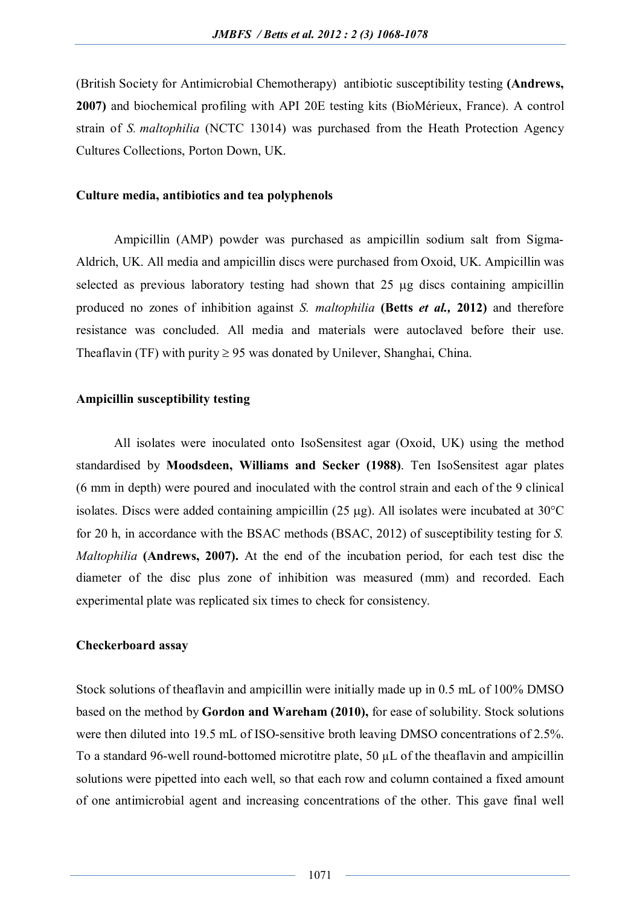(British Society for Antimicrobial Chemotherapy) antibiotic susceptibility testing **(Andrews, 2007)** and biochemical profiling with API 20E testing kits (BioMérieux, France). A control strain of *S. maltophilia* (NCTC 13014) was purchased from the Heath Protection Agency Cultures Collections, Porton Down, UK.

#### **Culture media, antibiotics and tea polyphenols**

Ampicillin (AMP) powder was purchased as ampicillin sodium salt from Sigma-Aldrich, UK. All media and ampicillin discs were purchased from Oxoid, UK. Ampicillin was selected as previous laboratory testing had shown that  $25 \mu$ g discs containing ampicillin produced no zones of inhibition against *S. maltophilia* **(Betts** *et al.,* **2012)** and therefore resistance was concluded. All media and materials were autoclaved before their use. Theaflavin (TF) with purity  $\geq 95$  was donated by Unilever, Shanghai, China.

#### **Ampicillin susceptibility testing**

All isolates were inoculated onto IsoSensitest agar (Oxoid, UK) using the method standardised by **Moodsdeen, Williams and Secker (1988)**. Ten IsoSensitest agar plates (6 mm in depth) were poured and inoculated with the control strain and each of the 9 clinical isolates. Discs were added containing ampicillin  $(25 \mu g)$ . All isolates were incubated at 30°C for 20 h, in accordance with the BSAC methods (BSAC, 2012) of susceptibility testing for *S. Maltophilia* **(Andrews, 2007).** At the end of the incubation period, for each test disc the diameter of the disc plus zone of inhibition was measured (mm) and recorded. Each experimental plate was replicated six times to check for consistency.

### **Checkerboard assay**

Stock solutions of theaflavin and ampicillin were initially made up in 0.5 mL of 100% DMSO based on the method by **Gordon and Wareham (2010),** for ease of solubility. Stock solutions were then diluted into 19.5 mL of ISO-sensitive broth leaving DMSO concentrations of 2.5%. To a standard 96-well round-bottomed microtitre plate, 50 µL of the theaflavin and ampicillin solutions were pipetted into each well, so that each row and column contained a fixed amount of one antimicrobial agent and increasing concentrations of the other. This gave final well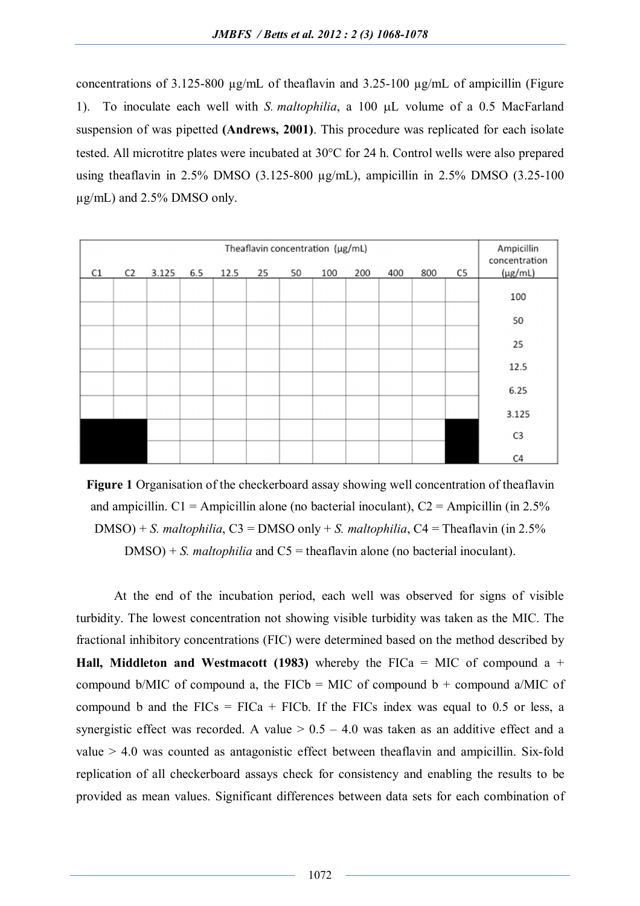concentrations of 3.125-800 µg/mL of theaflavin and 3.25-100 µg/mL of ampicillin (Figure 1). To inoculate each well with *S. maltophilia*, a 100 µL volume of a 0.5 MacFarland suspension of was pipetted **(Andrews, 2001)**. This procedure was replicated for each isolate tested. All microtitre plates were incubated at  $30^{\circ}$ C for 24 h. Control wells were also prepared using theaflavin in 2.5% DMSO (3.125-800 µg/mL), ampicillin in 2.5% DMSO (3.25-100 µg/mL) and 2.5% DMSO only.

| Ampicillin<br>concentration | Theaflavin concentration (µg/mL) |     |     |     |     |    |    |      |     |       |                |    |
|-----------------------------|----------------------------------|-----|-----|-----|-----|----|----|------|-----|-------|----------------|----|
| $(\mu g/mL)$                | C5                               | 800 | 400 | 200 | 100 | 50 | 25 | 12.5 | 6.5 | 3.125 | C <sub>2</sub> | C1 |
| 100                         |                                  |     |     |     |     |    |    |      |     |       |                |    |
| 50                          |                                  |     |     |     |     |    |    |      |     |       |                |    |
| 25                          |                                  |     |     |     |     |    |    |      |     |       |                |    |
| 12.5                        |                                  |     |     |     |     |    |    |      |     |       |                |    |
| 6.25                        |                                  |     |     |     |     |    |    |      |     |       |                |    |
| 3.125                       |                                  |     |     |     |     |    |    |      |     |       |                |    |
| C <sub>3</sub>              |                                  |     |     |     |     |    |    |      |     |       |                |    |
| C <sub>4</sub>              |                                  |     |     |     |     |    |    |      |     |       |                |    |

**Figure 1** Organisation of the checkerboard assay showing well concentration of theaflavin and ampicillin.  $C1 =$  Ampicillin alone (no bacterial inoculant),  $C2 =$  Ampicillin (in 2.5%) DMSO) + *S. maltophilia*, C3 = DMSO only + *S. maltophilia*, C4 = Theaflavin (in 2.5%  $DMSO$ ) + *S. maltophilia* and C5 = theaflavin alone (no bacterial inoculant).

At the end of the incubation period, each well was observed for signs of visible turbidity. The lowest concentration not showing visible turbidity was taken as the MIC. The fractional inhibitory concentrations (FIC) were determined based on the method described by **Hall, Middleton and Westmacott (1983)** whereby the FICa = MIC of compound a + compound b/MIC of compound a, the FICb = MIC of compound b + compound a/MIC of compound b and the  $FICs = FICa + FICb$ . If the FICs index was equal to 0.5 or less, a synergistic effect was recorded. A value  $> 0.5 - 4.0$  was taken as an additive effect and a value  $> 4.0$  was counted as antagonistic effect between theaflavin and ampicillin. Six-fold replication of all checkerboard assays check for consistency and enabling the results to be provided as mean values. Significant differences between data sets for each combination of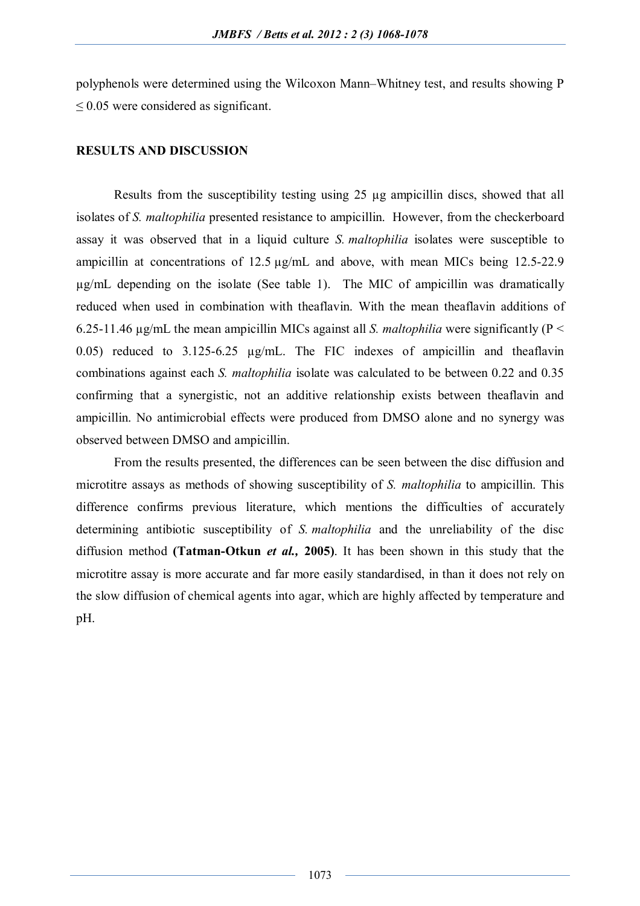polyphenols were determined using the Wilcoxon Mann–Whitney test, and results showing P ≤ 0.05 were considered as significant.

#### **RESULTS AND DISCUSSION**

Results from the susceptibility testing using 25 µg ampicillin discs, showed that all isolates of *S. maltophilia* presented resistance to ampicillin. However, from the checkerboard assay it was observed that in a liquid culture *S. maltophilia* isolates were susceptible to ampicillin at concentrations of 12.5 µg/mL and above, with mean MICs being 12.5-22.9 µg/mL depending on the isolate (See table 1). The MIC of ampicillin was dramatically reduced when used in combination with theaflavin. With the mean theaflavin additions of 6.25-11.46 µg/mL the mean ampicillin MICs against all *S. maltophilia* were significantly (P < 0.05) reduced to 3.125-6.25 µg/mL. The FIC indexes of ampicillin and theaflavin combinations against each *S. maltophilia* isolate was calculated to be between 0.22 and 0.35 confirming that a synergistic, not an additive relationship exists between theaflavin and ampicillin. No antimicrobial effects were produced from DMSO alone and no synergy was observed between DMSO and ampicillin.

From the results presented, the differences can be seen between the disc diffusion and microtitre assays as methods of showing susceptibility of *S. maltophilia* to ampicillin. This difference confirms previous literature, which mentions the difficulties of accurately determining antibiotic susceptibility of *S. maltophilia* and the unreliability of the disc diffusion method **(Tatman-Otkun** *et al.,* **2005)**. It has been shown in this study that the microtitre assay is more accurate and far more easily standardised, in than it does not rely on the slow diffusion of chemical agents into agar, which are highly affected by temperature and pH.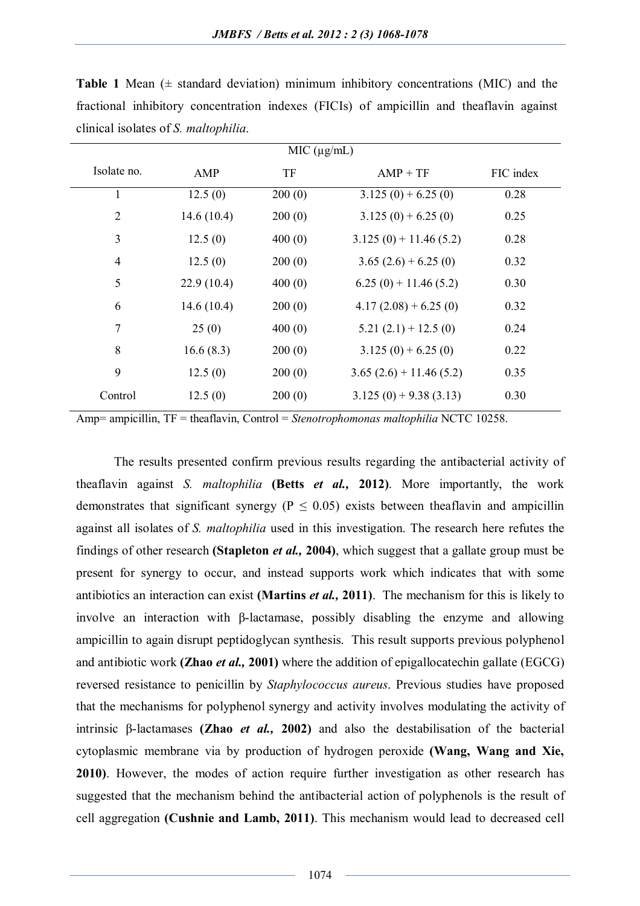| MIC (µg/mL)    |            |        |                          |           |  |  |  |  |  |  |
|----------------|------------|--------|--------------------------|-----------|--|--|--|--|--|--|
| Isolate no.    | AMP        | TF     | $AMP + TF$               | FIC index |  |  |  |  |  |  |
| 1              | 12.5(0)    | 200(0) | $3.125(0) + 6.25(0)$     | 0.28      |  |  |  |  |  |  |
| $\overline{2}$ | 14.6(10.4) | 200(0) | $3.125(0) + 6.25(0)$     | 0.25      |  |  |  |  |  |  |
| 3              | 12.5(0)    | 400(0) | $3.125(0) + 11.46(5.2)$  | 0.28      |  |  |  |  |  |  |
| $\overline{4}$ | 12.5(0)    | 200(0) | $3.65(2.6) + 6.25(0)$    | 0.32      |  |  |  |  |  |  |
| 5              | 22.9(10.4) | 400(0) | $6.25(0) + 11.46(5.2)$   | 0.30      |  |  |  |  |  |  |
| 6              | 14.6(10.4) | 200(0) | $4.17(2.08) + 6.25(0)$   | 0.32      |  |  |  |  |  |  |
| $\tau$         | 25(0)      | 400(0) | $5.21(2.1) + 12.5(0)$    | 0.24      |  |  |  |  |  |  |
| 8              | 16.6(8.3)  | 200(0) | $3.125(0) + 6.25(0)$     | 0.22      |  |  |  |  |  |  |
| 9              | 12.5(0)    | 200(0) | $3.65(2.6) + 11.46(5.2)$ | 0.35      |  |  |  |  |  |  |
| Control        | 12.5(0)    | 200(0) | $3.125(0) + 9.38(3.13)$  | 0.30      |  |  |  |  |  |  |

**Table 1** Mean  $(\pm$  standard deviation) minimum inhibitory concentrations (MIC) and the fractional inhibitory concentration indexes (FICIs) of ampicillin and theaflavin against clinical isolates of *S. maltophilia*.

Amp= ampicillin, TF = theaflavin, Control = *Stenotrophomonas maltophilia* NCTC 10258.

The results presented confirm previous results regarding the antibacterial activity of theaflavin against *S. maltophilia* **(Betts** *et al.,* **2012)**. More importantly, the work demonstrates that significant synergy ( $P \le 0.05$ ) exists between theaflavin and ampicillin against all isolates of *S. maltophilia* used in this investigation. The research here refutes the findings of other research **(Stapleton** *et al.,* **2004)**, which suggest that a gallate group must be present for synergy to occur, and instead supports work which indicates that with some antibiotics an interaction can exist **(Martins** *et al.,* **2011)**. The mechanism for this is likely to involve an interaction with β-lactamase, possibly disabling the enzyme and allowing ampicillin to again disrupt peptidoglycan synthesis. This result supports previous polyphenol and antibiotic work **(Zhao** *et al.,* **2001)** where the addition of epigallocatechin gallate (EGCG) reversed resistance to penicillin by *Staphylococcus aureus*. Previous studies have proposed that the mechanisms for polyphenol synergy and activity involves modulating the activity of intrinsic β-lactamases **(Zhao** *et al.,* **2002)** and also the destabilisation of the bacterial cytoplasmic membrane via by production of hydrogen peroxide **(Wang, Wang and Xie, 2010)**. However, the modes of action require further investigation as other research has suggested that the mechanism behind the antibacterial action of polyphenols is the result of cell aggregation **(Cushnie and Lamb, 2011)**. This mechanism would lead to decreased cell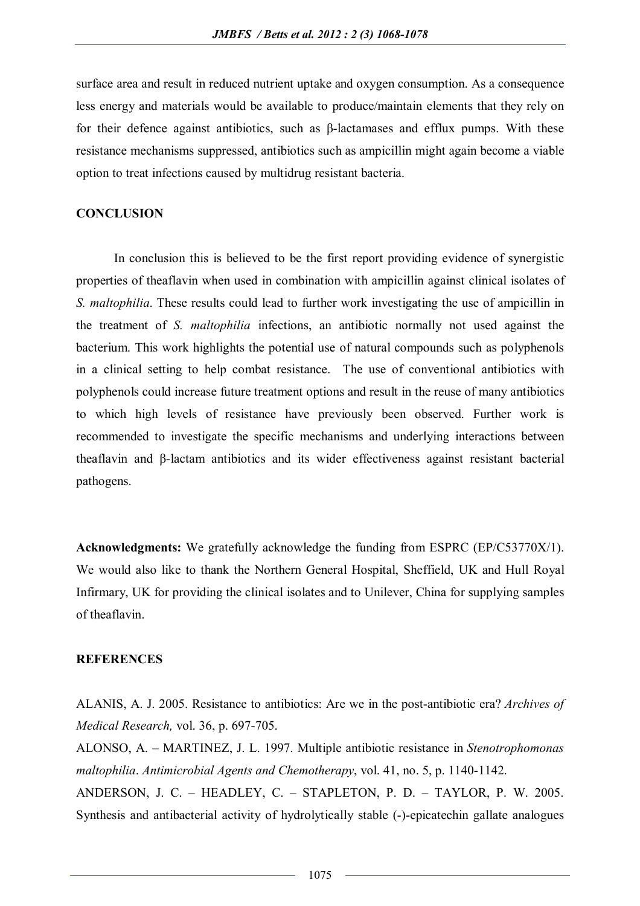surface area and result in reduced nutrient uptake and oxygen consumption. As a consequence less energy and materials would be available to produce/maintain elements that they rely on for their defence against antibiotics, such as β-lactamases and efflux pumps. With these resistance mechanisms suppressed, antibiotics such as ampicillin might again become a viable option to treat infections caused by multidrug resistant bacteria.

#### **CONCLUSION**

In conclusion this is believed to be the first report providing evidence of synergistic properties of theaflavin when used in combination with ampicillin against clinical isolates of *S. maltophilia*. These results could lead to further work investigating the use of ampicillin in the treatment of *S. maltophilia* infections, an antibiotic normally not used against the bacterium. This work highlights the potential use of natural compounds such as polyphenols in a clinical setting to help combat resistance. The use of conventional antibiotics with polyphenols could increase future treatment options and result in the reuse of many antibiotics to which high levels of resistance have previously been observed. Further work is recommended to investigate the specific mechanisms and underlying interactions between theaflavin and β-lactam antibiotics and its wider effectiveness against resistant bacterial pathogens.

**Acknowledgments:** We gratefully acknowledge the funding from ESPRC (EP/C53770X/1). We would also like to thank the Northern General Hospital, Sheffield, UK and Hull Royal Infirmary, UK for providing the clinical isolates and to Unilever, China for supplying samples of theaflavin.

#### **REFERENCES**

ALANIS, A. J. 2005. Resistance to antibiotics: Are we in the post-antibiotic era? *Archives of Medical Research,* vol. 36, p. 697-705.

ALONSO, A. – MARTINEZ, J. L. 1997. Multiple antibiotic resistance in *Stenotrophomonas maltophilia*. *Antimicrobial Agents and Chemotherapy*, vol. 41, no. 5, p. 1140-1142. ANDERSON, J. C. – HEADLEY, C. – STAPLETON, P. D. – TAYLOR, P. W. 2005. Synthesis and antibacterial activity of hydrolytically stable (-)-epicatechin gallate analogues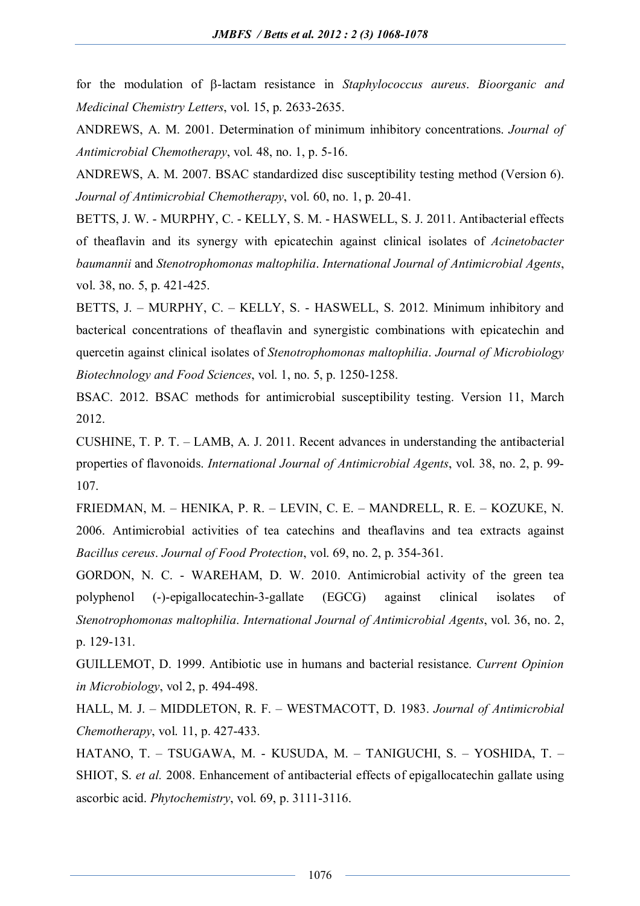for the modulation of  $\beta$ -lactam resistance in *Staphylococcus aureus*. *Bioorganic and Medicinal Chemistry Letters*, vol. 15, p. 2633-2635.

ANDREWS, A. M. 2001. Determination of minimum inhibitory concentrations. *Journal of Antimicrobial Chemotherapy*, vol. 48, no. 1, p. 5-16.

ANDREWS, A. M. 2007. BSAC standardized disc susceptibility testing method (Version 6). *Journal of Antimicrobial Chemotherapy*, vol. 60, no. 1, p. 20-41.

BETTS, J. W. - MURPHY, C. - KELLY, S. M. - HASWELL, S. J. 2011. Antibacterial effects of theaflavin and its synergy with epicatechin against clinical isolates of *Acinetobacter baumannii* and *Stenotrophomonas maltophilia*. *International Journal of Antimicrobial Agents*, vol. 38, no. 5, p. 421-425.

BETTS, J. – MURPHY, C. – KELLY, S. - HASWELL, S. 2012. Minimum inhibitory and bacterical concentrations of theaflavin and synergistic combinations with epicatechin and quercetin against clinical isolates of *Stenotrophomonas maltophilia*. *Journal of Microbiology Biotechnology and Food Sciences*, vol. 1, no. 5, p. 1250-1258.

BSAC. 2012. BSAC methods for antimicrobial susceptibility testing. Version 11, March 2012.

CUSHINE, T. P. T. – LAMB, A. J. 2011. Recent advances in understanding the antibacterial properties of flavonoids. *International Journal of Antimicrobial Agents*, vol. 38, no. 2, p. 99- 107.

FRIEDMAN, M. – HENIKA, P. R. – LEVIN, C. E. – MANDRELL, R. E. – KOZUKE, N. 2006. Antimicrobial activities of tea catechins and theaflavins and tea extracts against *Bacillus cereus*. *Journal of Food Protection*, vol. 69, no. 2, p. 354-361.

GORDON, N. C. - WAREHAM, D. W. 2010. Antimicrobial activity of the green tea polyphenol (-)-epigallocatechin-3-gallate (EGCG) against clinical isolates of *Stenotrophomonas maltophilia*. *International Journal of Antimicrobial Agents*, vol. 36, no. 2, p. 129-131.

GUILLEMOT, D. 1999. Antibiotic use in humans and bacterial resistance. *Current Opinion in Microbiology*, vol 2, p. 494-498.

HALL, M. J. – MIDDLETON, R. F. – WESTMACOTT, D. 1983. *Journal of Antimicrobial Chemotherapy*, vol. 11, p. 427-433.

HATANO, T. – TSUGAWA, M. - KUSUDA, M. – TANIGUCHI, S. – YOSHIDA, T. – SHIOT, S. *et al.* 2008. Enhancement of antibacterial effects of epigallocatechin gallate using ascorbic acid. *Phytochemistry*, vol. 69, p. 3111-3116.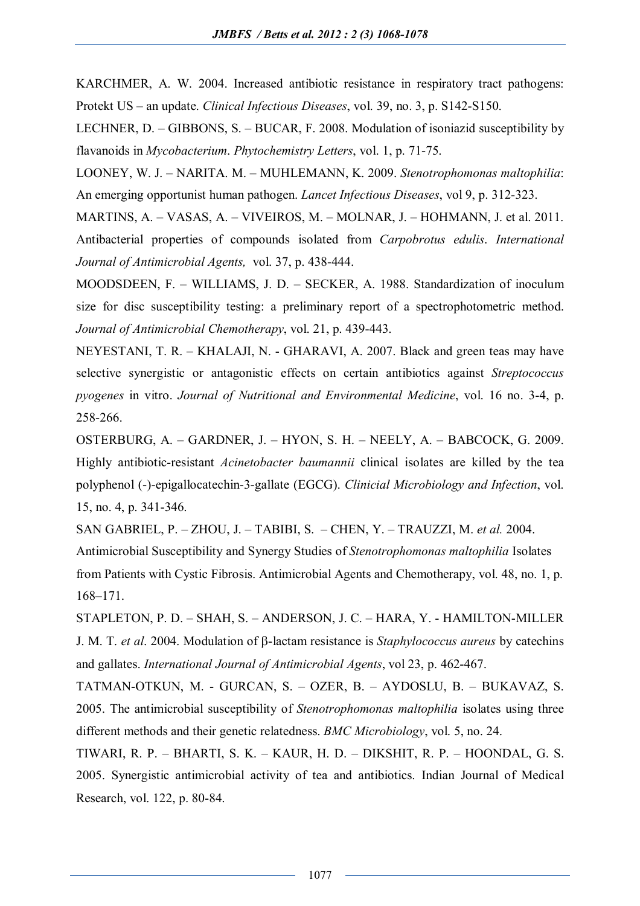KARCHMER, A. W. 2004. Increased antibiotic resistance in respiratory tract pathogens: Protekt US – an update. *Clinical Infectious Diseases*, vol. 39, no. 3, p. S142-S150.

LECHNER, D. – GIBBONS, S. – BUCAR, F. 2008. Modulation of isoniazid susceptibility by flavanoids in *Mycobacterium*. *Phytochemistry Letters*, vol. 1, p. 71-75.

LOONEY, W. J. – NARITA. M. – MUHLEMANN, K. 2009. *Stenotrophomonas maltophilia*: An emerging opportunist human pathogen. *Lancet Infectious Diseases*, vol 9, p. 312-323.

MARTINS, A. – VASAS, A. – VIVEIROS, M. – MOLNAR, J. – HOHMANN, J. et al. 2011. Antibacterial properties of compounds isolated from *Carpobrotus edulis*. *International Journal of Antimicrobial Agents,* vol. 37, p. 438-444.

MOODSDEEN, F. – WILLIAMS, J. D. – SECKER, A. 1988. Standardization of inoculum size for disc susceptibility testing: a preliminary report of a spectrophotometric method. *Journal of Antimicrobial Chemotherapy*, vol. 21, p. 439-443.

NEYESTANI, T. R. – KHALAJI, N. - GHARAVI, A. 2007. Black and green teas may have selective synergistic or antagonistic effects on certain antibiotics against *Streptococcus pyogenes* in vitro. *Journal of Nutritional and Environmental Medicine*, vol. 16 no. 3-4, p. 258-266.

OSTERBURG, A. – GARDNER, J. – HYON, S. H. – NEELY, A. – BABCOCK, G. 2009. Highly antibiotic-resistant *Acinetobacter baumannii* clinical isolates are killed by the tea polyphenol (-)-epigallocatechin-3-gallate (EGCG). *Clinicial Microbiology and Infection*, vol. 15, no. 4, p. 341-346.

SAN GABRIEL, P. – ZHOU, J. – TABIBI, S. – CHEN, Y. – TRAUZZI, M. *et al.* 2004.

Antimicrobial Susceptibility and Synergy Studies of *Stenotrophomonas maltophilia* Isolates from Patients with Cystic Fibrosis. Antimicrobial Agents and Chemotherapy, vol. 48, no. 1, p. 168–171.

STAPLETON, P. D. – SHAH, S. – ANDERSON, J. C. – HARA, Y. - HAMILTON-MILLER J. M. T. *et al.* 2004. Modulation of β-lactam resistance is *Staphylococcus aureus* by catechins and gallates. *International Journal of Antimicrobial Agents*, vol 23, p. 462-467.

TATMAN-OTKUN, M. - GURCAN, S. – OZER, B. – AYDOSLU, B. – BUKAVAZ, S. 2005. The antimicrobial susceptibility of *Stenotrophomonas maltophilia* isolates using three different methods and their genetic relatedness. *BMC Microbiology*, vol. 5, no. 24.

TIWARI, R. P. – BHARTI, S. K. – KAUR, H. D. – DIKSHIT, R. P. – HOONDAL, G. S. 2005. Synergistic antimicrobial activity of tea and antibiotics. Indian Journal of Medical Research, vol. 122, p. 80-84.